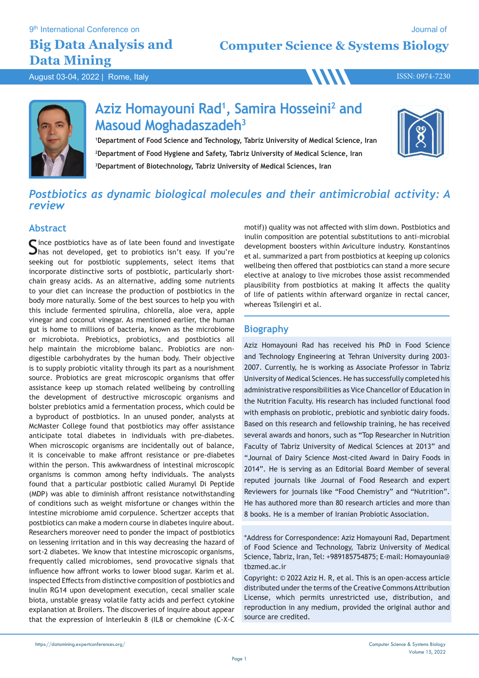9<sup>th</sup> International Conference on

## **Big Data Analysis and Data Mining**

**Computer Science & Systems Biology**

August 03-04, 2022 | Rome, Italy ISSN: 0974-7230



# **Aziz Homayouni Rad1 , Samira Hosseini2 and Masoud Moghadaszadeh3**

**1Department of Food Science and Technology, Tabriz University of Medical Science, Iran 2Department of Food Hygiene and Safety, Tabriz University of Medical Science, Iran 3Department of Biotechnology, Tabriz University of Medical Sciences, Iran**



### *Postbiotics as dynamic biological molecules and their antimicrobial activity: A review*

#### **Abstract**

Since postbiotics have as of late been found and investigate<br>Shas not developed, get to probiotics isn't easy. If you're seeking out for postbiotic supplements, select items that incorporate distinctive sorts of postbiotic, particularly shortchain greasy acids. As an alternative, adding some nutrients to your diet can increase the production of postbiotics in the body more naturally. Some of the best sources to help you with this include fermented spirulina, chlorella, aloe vera, apple vinegar and coconut vinegar. As mentioned earlier, the human gut is home to millions of bacteria, known as the microbiome or microbiota. Prebiotics, probiotics, and postbiotics all help maintain the microbiome balanc. Probiotics are nondigestible carbohydrates by the human body. Their objective is to supply probiotic vitality through its part as a nourishment source. Probiotics are great microscopic organisms that offer assistance keep up stomach related wellbeing by controlling the development of destructive microscopic organisms and bolster prebiotics amid a fermentation process, which could be a byproduct of postbiotics. In an unused ponder, analysts at McMaster College found that postbiotics may offer assistance anticipate total diabetes in individuals with pre-diabetes. When microscopic organisms are incidentally out of balance, it is conceivable to make affront resistance or pre-diabetes within the person. This awkwardness of intestinal microscopic organisms is common among hefty individuals. The analysts found that a particular postbiotic called Muramyl Di Peptide (MDP) was able to diminish affront resistance notwithstanding of conditions such as weight misfortune or changes within the intestine microbiome amid corpulence. Schertzer accepts that postbiotics can make a modern course in diabetes inquire about. Researchers moreover need to ponder the impact of postbiotics on lessening irritation and in this way decreasing the hazard of sort-2 diabetes. We know that intestine microscopic organisms, frequently called microbiomes, send provocative signals that influence how affront works to lower blood sugar. Karim et al. inspected Effects from distinctive composition of postbiotics and inulin RG14 upon development execution, cecal smaller scale biota, unstable greasy volatile fatty acids and perfect cytokine explanation at Broilers. The discoveries of inquire about appear that the expression of Interleukin 8 (IL8 or chemokine (C-X-C

motif)) quality was not affected with slim down. Postbiotics and inulin composition are potential substitutions to anti-microbial development boosters within Aviculture industry. Konstantinos et al. summarized a part from postbiotics at keeping up colonics wellbeing then offered that postbiotics can stand a more secure elective at analogy to live microbes those assist recommended plausibility from postbiotics at making It affects the quality of life of patients within afterward organize in rectal cancer, whereas Tsilengiri et al.

### **Biography**

Aziz Homayouni Rad has received his PhD in Food Science and Technology Engineering at Tehran University during 2003- 2007. Currently, he is working as Associate Professor in Tabriz University of Medical Sciences. He has successfully completed his administrative responsibilities as Vice Chancellor of Education in the Nutrition Faculty. His research has included functional food with emphasis on probiotic, prebiotic and synbiotic dairy foods. Based on this research and fellowship training, he has received several awards and honors, such as "Top Researcher in Nutrition Faculty of Tabriz University of Medical Sciences at 2013" and "Journal of Dairy Science Most-cited Award in Dairy Foods in 2014". He is serving as an Editorial Board Member of several reputed journals like Journal of Food Research and expert Reviewers for journals like "Food Chemistry" and "Nutrition". He has authored more than 80 research articles and more than 8 books. He is a member of Iranian Probiotic Association.

\*Address for Correspondence: Aziz Homayouni Rad, Department of Food Science and Technology, Tabriz University of Medical Science, Tabriz, Iran, Tel: +989185754875; E-mail: Homayounia@ tbzmed.ac.ir

Copyright: © 2022 Aziz H. R, et al. This is an open-access article distributed under the terms of the Creative Commons Attribution License, which permits unrestricted use, distribution, and reproduction in any medium, provided the original author and source are credited.